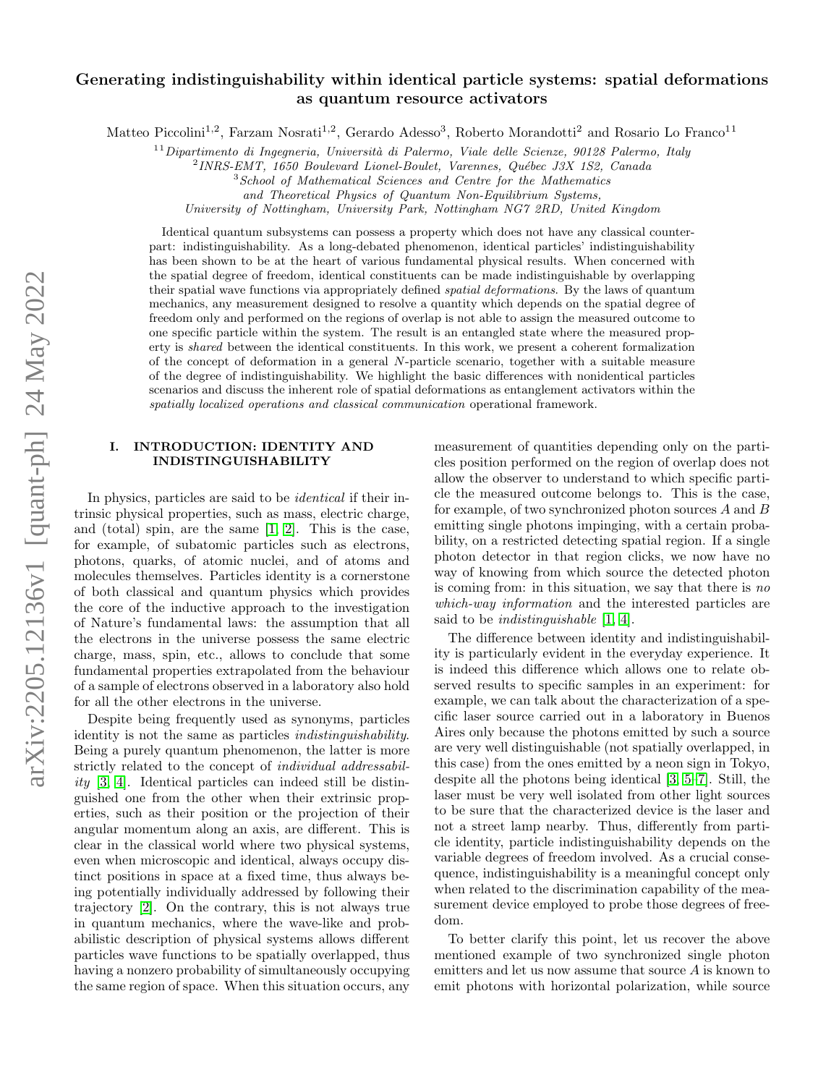# Generating indistinguishability within identical particle systems: spatial deformations as quantum resource activators

Matteo Piccolini<sup>1,2</sup>, Farzam Nosrati<sup>1,2</sup>, Gerardo Adesso<sup>3</sup>, Roberto Morandotti<sup>2</sup> and Rosario Lo Franco<sup>11</sup>

 $11$ Dipartimento di Ingegneria, Università di Palermo, Viale delle Scienze, 90128 Palermo, Italy

 $^{2}$ INRS-EMT, 1650 Boulevard Lionel-Boulet, Varennes, Québec J3X 1S2, Canada

<sup>3</sup>School of Mathematical Sciences and Centre for the Mathematics

and Theoretical Physics of Quantum Non-Equilibrium Systems,

University of Nottingham, University Park, Nottingham NG7 2RD, United Kingdom

Identical quantum subsystems can possess a property which does not have any classical counterpart: indistinguishability. As a long-debated phenomenon, identical particles' indistinguishability has been shown to be at the heart of various fundamental physical results. When concerned with the spatial degree of freedom, identical constituents can be made indistinguishable by overlapping their spatial wave functions via appropriately defined *spatial deformations*. By the laws of quantum mechanics, any measurement designed to resolve a quantity which depends on the spatial degree of freedom only and performed on the regions of overlap is not able to assign the measured outcome to one specific particle within the system. The result is an entangled state where the measured property is shared between the identical constituents. In this work, we present a coherent formalization of the concept of deformation in a general N-particle scenario, together with a suitable measure of the degree of indistinguishability. We highlight the basic differences with nonidentical particles scenarios and discuss the inherent role of spatial deformations as entanglement activators within the spatially localized operations and classical communication operational framework.

# <span id="page-0-0"></span>I. INTRODUCTION: IDENTITY AND INDISTINGUISHABILITY

In physics, particles are said to be identical if their intrinsic physical properties, such as mass, electric charge, and (total) spin, are the same [\[1,](#page-9-0) [2\]](#page-9-1). This is the case, for example, of subatomic particles such as electrons, photons, quarks, of atomic nuclei, and of atoms and molecules themselves. Particles identity is a cornerstone of both classical and quantum physics which provides the core of the inductive approach to the investigation of Nature's fundamental laws: the assumption that all the electrons in the universe possess the same electric charge, mass, spin, etc., allows to conclude that some fundamental properties extrapolated from the behaviour of a sample of electrons observed in a laboratory also hold for all the other electrons in the universe.

Despite being frequently used as synonyms, particles identity is not the same as particles indistinguishability. Being a purely quantum phenomenon, the latter is more strictly related to the concept of individual addressability [\[3,](#page-9-2) [4\]](#page-9-3). Identical particles can indeed still be distinguished one from the other when their extrinsic properties, such as their position or the projection of their angular momentum along an axis, are different. This is clear in the classical world where two physical systems, even when microscopic and identical, always occupy distinct positions in space at a fixed time, thus always being potentially individually addressed by following their trajectory [\[2\]](#page-9-1). On the contrary, this is not always true in quantum mechanics, where the wave-like and probabilistic description of physical systems allows different particles wave functions to be spatially overlapped, thus having a nonzero probability of simultaneously occupying the same region of space. When this situation occurs, any

measurement of quantities depending only on the particles position performed on the region of overlap does not allow the observer to understand to which specific particle the measured outcome belongs to. This is the case, for example, of two synchronized photon sources A and B emitting single photons impinging, with a certain probability, on a restricted detecting spatial region. If a single photon detector in that region clicks, we now have no way of knowing from which source the detected photon is coming from: in this situation, we say that there is no which-way information and the interested particles are said to be indistinguishable [\[1,](#page-9-0) [4\]](#page-9-3).

The difference between identity and indistinguishability is particularly evident in the everyday experience. It is indeed this difference which allows one to relate observed results to specific samples in an experiment: for example, we can talk about the characterization of a specific laser source carried out in a laboratory in Buenos Aires only because the photons emitted by such a source are very well distinguishable (not spatially overlapped, in this case) from the ones emitted by a neon sign in Tokyo, despite all the photons being identical [\[3,](#page-9-2) [5–](#page-9-4)[7\]](#page-9-5). Still, the laser must be very well isolated from other light sources to be sure that the characterized device is the laser and not a street lamp nearby. Thus, differently from particle identity, particle indistinguishability depends on the variable degrees of freedom involved. As a crucial consequence, indistinguishability is a meaningful concept only when related to the discrimination capability of the measurement device employed to probe those degrees of freedom.

To better clarify this point, let us recover the above mentioned example of two synchronized single photon emitters and let us now assume that source  $A$  is known to emit photons with horizontal polarization, while source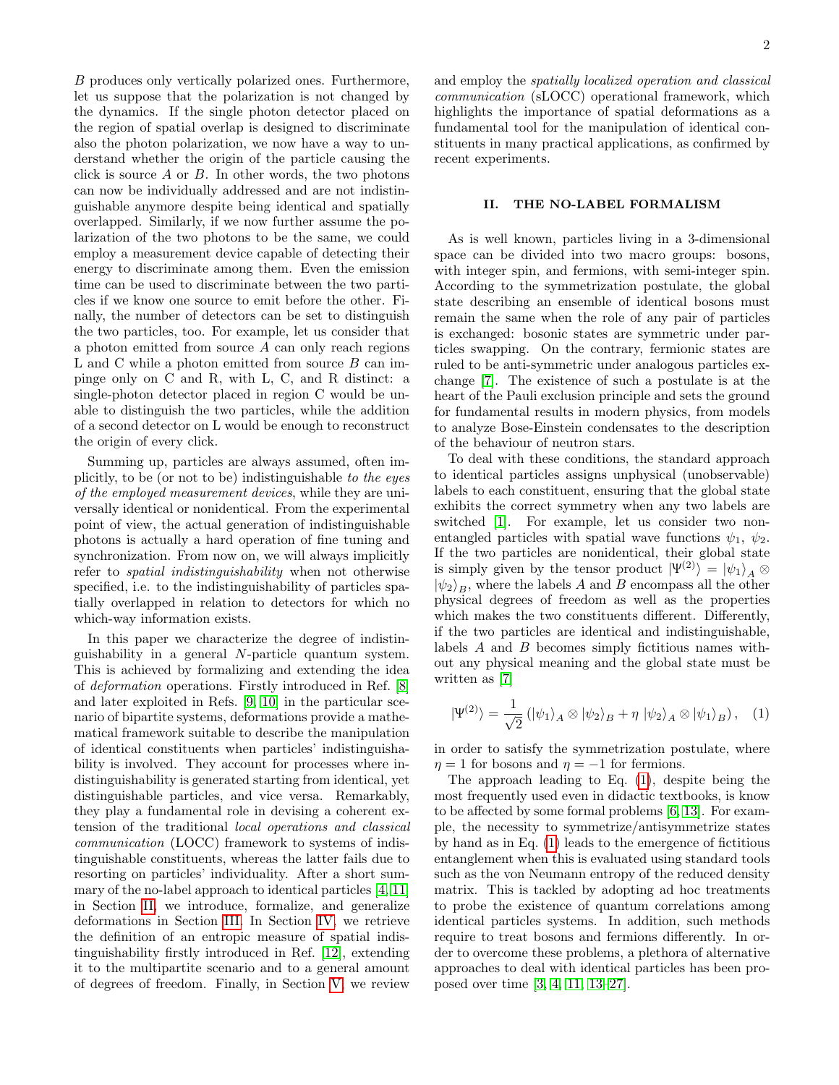B produces only vertically polarized ones. Furthermore, let us suppose that the polarization is not changed by the dynamics. If the single photon detector placed on the region of spatial overlap is designed to discriminate also the photon polarization, we now have a way to understand whether the origin of the particle causing the click is source  $A$  or  $B$ . In other words, the two photons can now be individually addressed and are not indistinguishable anymore despite being identical and spatially overlapped. Similarly, if we now further assume the polarization of the two photons to be the same, we could employ a measurement device capable of detecting their energy to discriminate among them. Even the emission time can be used to discriminate between the two particles if we know one source to emit before the other. Finally, the number of detectors can be set to distinguish the two particles, too. For example, let us consider that a photon emitted from source A can only reach regions L and C while a photon emitted from source B can impinge only on C and R, with L, C, and R distinct: a single-photon detector placed in region C would be unable to distinguish the two particles, while the addition of a second detector on L would be enough to reconstruct the origin of every click.

Summing up, particles are always assumed, often implicitly, to be (or not to be) indistinguishable to the eyes of the employed measurement devices, while they are universally identical or nonidentical. From the experimental point of view, the actual generation of indistinguishable photons is actually a hard operation of fine tuning and synchronization. From now on, we will always implicitly refer to spatial indistinguishability when not otherwise specified, i.e. to the indistinguishability of particles spatially overlapped in relation to detectors for which no which-way information exists.

In this paper we characterize the degree of indistinguishability in a general N-particle quantum system. This is achieved by formalizing and extending the idea of deformation operations. Firstly introduced in Ref. [\[8\]](#page-9-6) and later exploited in Refs. [\[9,](#page-9-7) [10\]](#page-9-8) in the particular scenario of bipartite systems, deformations provide a mathematical framework suitable to describe the manipulation of identical constituents when particles' indistinguishability is involved. They account for processes where indistinguishability is generated starting from identical, yet distinguishable particles, and vice versa. Remarkably, they play a fundamental role in devising a coherent extension of the traditional local operations and classical communication (LOCC) framework to systems of indistinguishable constituents, whereas the latter fails due to resorting on particles' individuality. After a short summary of the no-label approach to identical particles [\[4,](#page-9-3) [11\]](#page-9-9) in Section [II,](#page-1-0) we introduce, formalize, and generalize deformations in Section [III.](#page-3-0) In Section [IV,](#page-5-0) we retrieve the definition of an entropic measure of spatial indistinguishability firstly introduced in Ref. [\[12\]](#page-9-10), extending it to the multipartite scenario and to a general amount of degrees of freedom. Finally, in Section [V,](#page-6-0) we review

and employ the spatially localized operation and classical communication (sLOCC) operational framework, which highlights the importance of spatial deformations as a fundamental tool for the manipulation of identical constituents in many practical applications, as confirmed by recent experiments.

# <span id="page-1-0"></span>II. THE NO-LABEL FORMALISM

As is well known, particles living in a 3-dimensional space can be divided into two macro groups: bosons, with integer spin, and fermions, with semi-integer spin. According to the symmetrization postulate, the global state describing an ensemble of identical bosons must remain the same when the role of any pair of particles is exchanged: bosonic states are symmetric under particles swapping. On the contrary, fermionic states are ruled to be anti-symmetric under analogous particles exchange [\[7\]](#page-9-5). The existence of such a postulate is at the heart of the Pauli exclusion principle and sets the ground for fundamental results in modern physics, from models to analyze Bose-Einstein condensates to the description of the behaviour of neutron stars.

To deal with these conditions, the standard approach to identical particles assigns unphysical (unobservable) labels to each constituent, ensuring that the global state exhibits the correct symmetry when any two labels are switched [\[1\]](#page-9-0). For example, let us consider two nonentangled particles with spatial wave functions  $\psi_1, \psi_2$ . If the two particles are nonidentical, their global state is simply given by the tensor product  $|\Psi^{(2)}\rangle = |\psi_1\rangle_A \otimes$  $|\psi_2\rangle_B$ , where the labels A and B encompass all the other physical degrees of freedom as well as the properties which makes the two constituents different. Differently, if the two particles are identical and indistinguishable, labels A and B becomes simply fictitious names without any physical meaning and the global state must be written as [\[7\]](#page-9-5)

<span id="page-1-1"></span>
$$
|\Psi^{(2)}\rangle = \frac{1}{\sqrt{2}} \left( |\psi_1\rangle_A \otimes |\psi_2\rangle_B + \eta \, |\psi_2\rangle_A \otimes |\psi_1\rangle_B \right), \quad (1)
$$

in order to satisfy the symmetrization postulate, where  $\eta = 1$  for bosons and  $\eta = -1$  for fermions.

The approach leading to Eq. [\(1\)](#page-1-1), despite being the most frequently used even in didactic textbooks, is know to be affected by some formal problems [\[6,](#page-9-11) [13\]](#page-9-12). For example, the necessity to symmetrize/antisymmetrize states by hand as in Eq. [\(1\)](#page-1-1) leads to the emergence of fictitious entanglement when this is evaluated using standard tools such as the von Neumann entropy of the reduced density matrix. This is tackled by adopting ad hoc treatments to probe the existence of quantum correlations among identical particles systems. In addition, such methods require to treat bosons and fermions differently. In order to overcome these problems, a plethora of alternative approaches to deal with identical particles has been proposed over time [\[3,](#page-9-2) [4,](#page-9-3) [11,](#page-9-9) [13–](#page-9-12)[27\]](#page-9-13).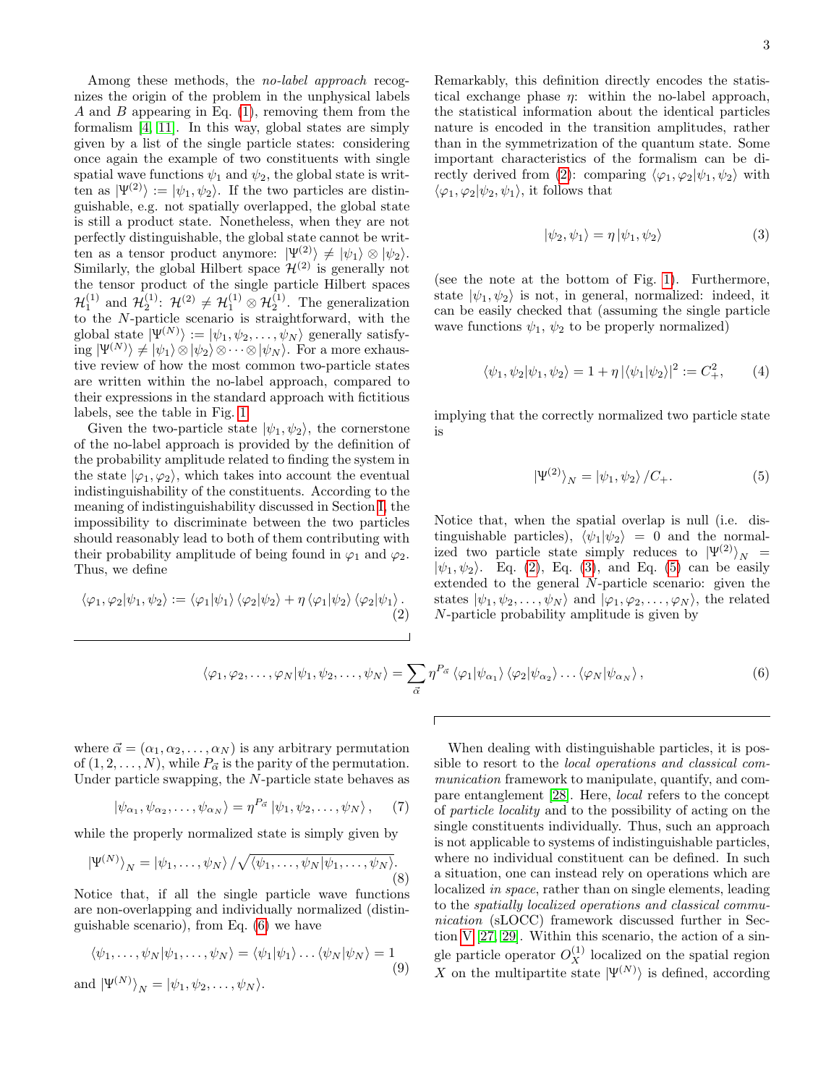Among these methods, the no-label approach recognizes the origin of the problem in the unphysical labels A and B appearing in Eq.  $(1)$ , removing them from the formalism [\[4,](#page-9-3) [11\]](#page-9-9). In this way, global states are simply given by a list of the single particle states: considering once again the example of two constituents with single spatial wave functions  $\psi_1$  and  $\psi_2$ , the global state is written as  $|\Psi^{(2)}\rangle := |\psi_1, \psi_2\rangle$ . If the two particles are distinguishable, e.g. not spatially overlapped, the global state is still a product state. Nonetheless, when they are not perfectly distinguishable, the global state cannot be written as a tensor product anymore:  $|\Psi^{(2)}\rangle \neq |\psi_1\rangle \otimes |\psi_2\rangle$ . Similarly, the global Hilbert space  $\mathcal{H}^{(2)}$  is generally not the tensor product of the single particle Hilbert spaces  $\mathcal{H}_1^{(1)}$  and  $\mathcal{H}_2^{(1)}$ :  $\mathcal{H}^{(2)} \neq \mathcal{H}_1^{(1)} \otimes \mathcal{H}_2^{(1)}$ . The generalization to the N-particle scenario is straightforward, with the global state  $|\Psi^{(N)}\rangle := |\psi_1, \psi_2, \dots, \psi_N\rangle$  generally satisfy- $\langle \text{log }|\Psi^{(N)}\rangle \neq |\psi_1\rangle \otimes |\psi_2\rangle \otimes \cdots \otimes |\psi_N\rangle.$  For a more exhaustive review of how the most common two-particle states are written within the no-label approach, compared to their expressions in the standard approach with fictitious labels, see the table in Fig. [1.](#page-3-1)

Given the two-particle state  $|\psi_1, \psi_2\rangle$ , the cornerstone of the no-label approach is provided by the definition of the probability amplitude related to finding the system in the state  $|\varphi_1, \varphi_2\rangle$ , which takes into account the eventual indistinguishability of the constituents. According to the meaning of indistinguishability discussed in Section [I,](#page-0-0) the impossibility to discriminate between the two particles should reasonably lead to both of them contributing with their probability amplitude of being found in  $\varphi_1$  and  $\varphi_2$ . Thus, we define

<span id="page-2-0"></span>
$$
\langle \varphi_1, \varphi_2 | \psi_1, \psi_2 \rangle := \langle \varphi_1 | \psi_1 \rangle \langle \varphi_2 | \psi_2 \rangle + \eta \langle \varphi_1 | \psi_2 \rangle \langle \varphi_2 | \psi_1 \rangle.
$$
\n(2)

Remarkably, this definition directly encodes the statistical exchange phase  $\eta$ : within the no-label approach, the statistical information about the identical particles nature is encoded in the transition amplitudes, rather than in the symmetrization of the quantum state. Some important characteristics of the formalism can be di-rectly derived from [\(2\)](#page-2-0): comparing  $\langle \varphi_1, \varphi_2 | \psi_1, \psi_2 \rangle$  with  $\langle \varphi_1, \varphi_2 | \psi_2, \psi_1 \rangle$ , it follows that

<span id="page-2-1"></span>
$$
|\psi_2, \psi_1\rangle = \eta |\psi_1, \psi_2\rangle \tag{3}
$$

(see the note at the bottom of Fig. [1\)](#page-3-1). Furthermore, state  $|\psi_1, \psi_2\rangle$  is not, in general, normalized: indeed, it can be easily checked that (assuming the single particle wave functions  $\psi_1, \psi_2$  to be properly normalized)

$$
\langle \psi_1, \psi_2 | \psi_1, \psi_2 \rangle = 1 + \eta \, |\langle \psi_1 | \psi_2 \rangle|^2 := C_+^2,\qquad(4)
$$

implying that the correctly normalized two particle state is

<span id="page-2-2"></span>
$$
\left|\Psi^{(2)}\right\rangle_{N} = \left|\psi_{1},\psi_{2}\right\rangle/C_{+}.\tag{5}
$$

Notice that, when the spatial overlap is null (i.e. distinguishable particles),  $\langle \psi_1 | \psi_2 \rangle = 0$  and the normalized two particle state simply reduces to  $|\Psi^{(2)}\rangle_N$  =  $|\psi_1, \psi_2\rangle$ . Eq. [\(2\)](#page-2-0), Eq. [\(3\)](#page-2-1), and Eq. [\(5\)](#page-2-2) can be easily extended to the general N-particle scenario: given the states  $|\psi_1, \psi_2, \dots, \psi_N\rangle$  and  $|\varphi_1, \varphi_2, \dots, \varphi_N\rangle$ , the related N-particle probability amplitude is given by

<span id="page-2-3"></span>
$$
\langle \varphi_1, \varphi_2, \dots, \varphi_N | \psi_1, \psi_2, \dots, \psi_N \rangle = \sum_{\vec{\alpha}} \eta^{P_{\vec{\alpha}}} \langle \varphi_1 | \psi_{\alpha_1} \rangle \langle \varphi_2 | \psi_{\alpha_2} \rangle \dots \langle \varphi_N | \psi_{\alpha_N} \rangle, \tag{6}
$$

where  $\vec{\alpha} = (\alpha_1, \alpha_2, \dots, \alpha_N)$  is any arbitrary permutation of  $(1, 2, \ldots, N)$ , while  $P_{\vec{\alpha}}$  is the parity of the permutation. Under particle swapping, the N-particle state behaves as

$$
|\psi_{\alpha_1}, \psi_{\alpha_2}, \dots, \psi_{\alpha_N}\rangle = \eta^{P_{\vec{\alpha}}} |\psi_1, \psi_2, \dots, \psi_N\rangle, \quad (7)
$$

while the properly normalized state is simply given by

$$
\left|\Psi^{(N)}\right\rangle_{N} = \left|\psi_{1},\ldots,\psi_{N}\right\rangle / \sqrt{\langle\psi_{1},\ldots,\psi_{N}|\psi_{1},\ldots,\psi_{N}\rangle}.
$$
\n(8)

Notice that, if all the single particle wave functions are non-overlapping and individually normalized (distinguishable scenario), from Eq. [\(6\)](#page-2-3) we have

<span id="page-2-4"></span>
$$
\langle \psi_1, \dots, \psi_N | \psi_1, \dots, \psi_N \rangle = \langle \psi_1 | \psi_1 \rangle \dots \langle \psi_N | \psi_N \rangle = 1
$$
\n(9)

and 
$$
|\Psi^{(N)}\rangle_N = |\psi_1, \psi_2, \dots, \psi_N\rangle
$$
.

When dealing with distinguishable particles, it is possible to resort to the local operations and classical communication framework to manipulate, quantify, and compare entanglement [\[28\]](#page-9-14). Here, local refers to the concept of particle locality and to the possibility of acting on the single constituents individually. Thus, such an approach is not applicable to systems of indistinguishable particles, where no individual constituent can be defined. In such a situation, one can instead rely on operations which are localized in space, rather than on single elements, leading to the spatially localized operations and classical communication (sLOCC) framework discussed further in Section [V](#page-6-0) [\[27,](#page-9-13) [29\]](#page-9-15). Within this scenario, the action of a single particle operator  $O_X^{(1)}$  localized on the spatial region X on the multipartite state  $|\Psi^{(N)}\rangle$  is defined, according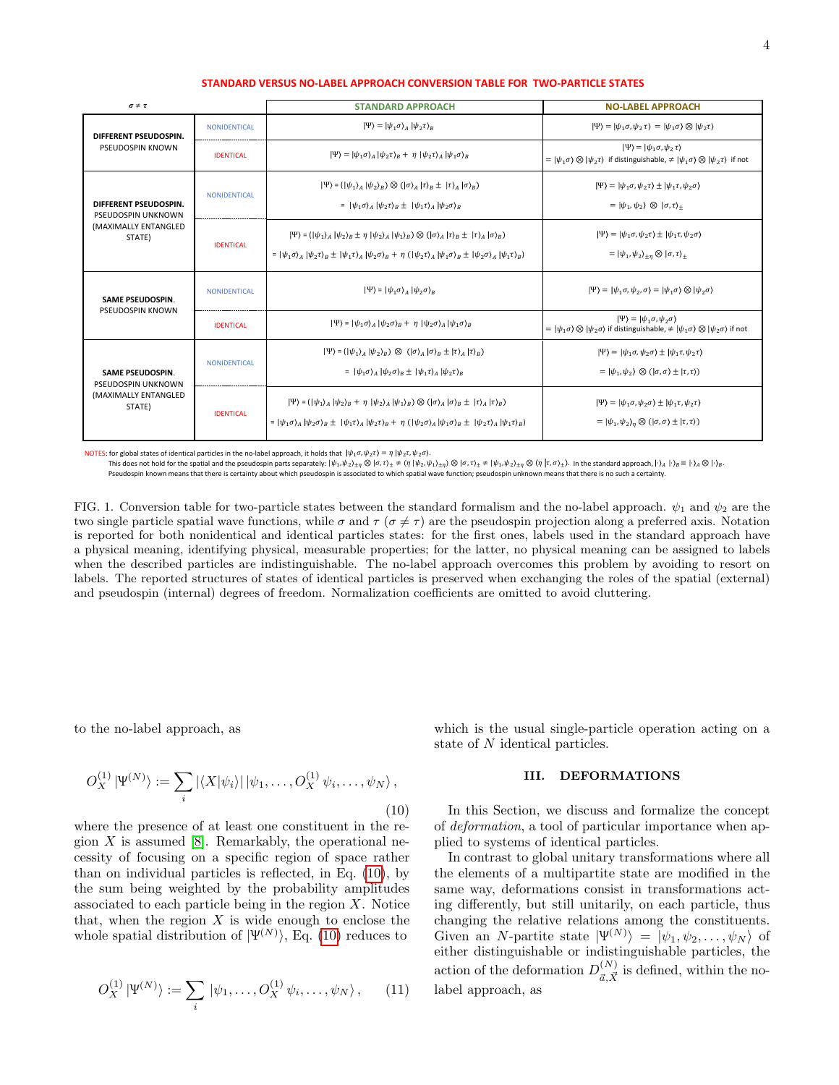| $\sigma \neq \tau$                                                              |                     | <b>STANDARD APPROACH</b>                                                                                                                                                                                             | <b>NO-LABEL APPROACH</b>                                                                                                                                                                                   |
|---------------------------------------------------------------------------------|---------------------|----------------------------------------------------------------------------------------------------------------------------------------------------------------------------------------------------------------------|------------------------------------------------------------------------------------------------------------------------------------------------------------------------------------------------------------|
| DIFFERENT PSEUDOSPIN.<br>PSEUDOSPIN KNOWN                                       | <b>NONIDENTICAL</b> | $ \Psi\rangle =  \psi_1 \sigma\rangle_A  \psi_2 \tau\rangle_B$                                                                                                                                                       | $ \Psi\rangle =  \psi_1 \sigma, \psi_2 \tau\rangle =  \psi_1 \sigma\rangle \otimes  \psi_2 \tau\rangle$                                                                                                    |
|                                                                                 | <b>IDENTICAL</b>    | $ \Psi\rangle =  \psi_1 \sigma\rangle_A  \psi_2 \tau\rangle_B + \eta  \psi_2 \tau\rangle_A  \psi_1 \sigma\rangle_B$                                                                                                  | $ \Psi\rangle =  \psi_1 \sigma, \psi_2 \tau\rangle$<br>$=  \psi_1 \sigma \rangle \otimes  \psi_2 \tau \rangle$ if distinguishable, $\neq  \psi_1 \sigma \rangle \otimes  \psi_2 \tau \rangle$ if not       |
| DIFFERENT PSEUDOSPIN.<br>PSEUDOSPIN UNKNOWN<br>(MAXIMALLY ENTANGLED<br>STATE)   | <b>NONIDENTICAL</b> | $ \Psi\rangle = ( \psi_1\rangle_A  \psi_2\rangle_B) \otimes ( \sigma\rangle_A  \tau\rangle_B \pm  \tau\rangle_A  \sigma\rangle_B)$                                                                                   | $ \Psi\rangle =  \psi_1 \sigma, \psi_2 \tau\rangle \pm  \psi_1 \tau, \psi_2 \sigma\rangle$                                                                                                                 |
|                                                                                 |                     | = $ \psi_1 \sigma \rangle_4  \psi_2 \tau \rangle_R \pm  \psi_1 \tau \rangle_4  \psi_2 \sigma \rangle_R$                                                                                                              | $=  \psi_1, \psi_2\rangle \otimes  \sigma, \tau\rangle_+$                                                                                                                                                  |
|                                                                                 | <b>IDENTICAL</b>    | $ \Psi\rangle = ( \psi_1\rangle_A  \psi_2\rangle_B \pm \eta  \psi_2\rangle_A  \psi_1\rangle_B) \otimes ( \sigma\rangle_A  \tau\rangle_B \pm  \tau\rangle_A  \sigma\rangle_B)$                                        | $ \Psi\rangle =  \psi_1 \sigma, \psi_2 \tau\rangle \pm  \psi_1 \tau, \psi_2 \sigma\rangle$                                                                                                                 |
|                                                                                 |                     | = $ \psi_1 \sigma \rangle_A  \psi_2 \tau \rangle_B \pm  \psi_1 \tau \rangle_A  \psi_2 \sigma \rangle_B + \eta ( \psi_2 \tau \rangle_A  \psi_1 \sigma \rangle_B \pm  \psi_2 \sigma \rangle_A  \psi_1 \tau \rangle_B)$ | $=  \psi_1, \psi_2\rangle_{+n} \otimes  \sigma, \tau\rangle_{+}$                                                                                                                                           |
| <b>SAME PSEUDOSPIN.</b><br>PSEUDOSPIN KNOWN                                     | <b>NONIDENTICAL</b> | $ \Psi\rangle =  \psi_1 \sigma\rangle_A  \psi_2 \sigma\rangle_B$                                                                                                                                                     | $ \Psi\rangle =  \psi_1 \sigma, \psi_2, \sigma\rangle =  \psi_1 \sigma\rangle \otimes  \psi_2 \sigma\rangle$                                                                                               |
|                                                                                 | <b>IDENTICAL</b>    | $ \Psi\rangle =  \psi_1 \sigma\rangle_A  \psi_2 \sigma\rangle_B + \eta  \psi_2 \sigma\rangle_A  \psi_1 \sigma\rangle_B$                                                                                              | $ \Psi\rangle =  \psi_1 \sigma, \psi_2 \sigma\rangle$<br>$=  \psi_1 \sigma \rangle \otimes  \psi_2 \sigma \rangle$ if distinguishable, $\neq  \psi_1 \sigma \rangle \otimes  \psi_2 \sigma \rangle$ if not |
| <b>SAME PSEUDOSPIN.</b><br>PSEUDOSPIN UNKNOWN<br>(MAXIMALLY ENTANGLED<br>STATE) | NONIDENTICAL        | $ \Psi\rangle = ( \psi_1\rangle_A  \psi_2\rangle_B) \otimes ( \sigma\rangle_A  \sigma\rangle_B \pm  \tau\rangle_A  \tau\rangle_B)$                                                                                   | $ \Psi\rangle =  \psi_1 \sigma, \psi_2 \sigma\rangle \pm  \psi_1 \tau, \psi_2 \tau\rangle$                                                                                                                 |
|                                                                                 |                     | = $ \psi_1 \sigma\rangle_4  \psi_2 \sigma\rangle_8 \pm  \psi_1 \tau\rangle_4  \psi_2 \tau\rangle_8$                                                                                                                  | $=  \psi_1, \psi_2\rangle \otimes ( \sigma, \sigma \rangle \pm  \tau, \tau \rangle)$                                                                                                                       |
|                                                                                 | <b>IDENTICAL</b>    | $ \Psi\rangle = ( \psi_1\rangle_A  \psi_2\rangle_B + \eta  \psi_2\rangle_A  \psi_1\rangle_B) \otimes ( \sigma\rangle_A  \sigma\rangle_B \pm  \tau\rangle_A  \tau\rangle_B)$                                          | $ \Psi\rangle =  \psi_1 \sigma, \psi_2 \sigma\rangle \pm  \psi_1 \tau, \psi_2 \tau\rangle$                                                                                                                 |
|                                                                                 |                     | $=  \psi_1 \sigma\rangle_A  \psi_2 \sigma\rangle_B \pm  \psi_1 \tau\rangle_A  \psi_2 \tau\rangle_B + \eta ( \psi_2 \sigma\rangle_A  \psi_1 \sigma\rangle_B \pm  \psi_2 \tau\rangle_A  \psi_1 \tau\rangle_B)$         | $=  \psi_1, \psi_2\rangle_n \otimes ( \sigma, \sigma \rangle \pm  \tau, \tau \rangle)$                                                                                                                     |

#### **STANDARD VERSUS NO-LABEL APPROACH CONVERSION TABLE FOR TWO-PARTICLE STATES**

NOTES: for global states of identical particles in the no-label approach, it holds that  $|\psi_1 \sigma, \psi_2 \tau \rangle = \eta |\psi_2 \tau, \psi_2 \sigma \rangle$ .

This does not hold for the spatial and the pseudospin parts separately:  $|\psi_1, \psi_2\rangle_{\pm\eta}\otimes|\sigma, \tau\rangle_{\pm}\neq(\eta\ |\psi_2, \psi_1\rangle_{\pm\eta})\otimes|\sigma, \tau\rangle_{\pm}\neq|\psi_1, \psi_2\rangle_{\pm\eta}\otimes(\eta\ |\tau, \sigma\rangle_{\pm}).$  In the standard approach,  $|\cdot\rangle_A\ |\cdot\rangle_B\equiv|\cdot\rangle_A$ Pseudospin known means that there is certainty about which pseudospin is associated to which spatial wave function; pseudospin unknown means that there is no such a certainty.

<span id="page-3-1"></span>FIG. 1. Conversion table for two-particle states between the standard formalism and the no-label approach.  $\psi_1$  and  $\psi_2$  are the two single particle spatial wave functions, while  $\sigma$  and  $\tau$  ( $\sigma \neq \tau$ ) are the pseudospin projection along a preferred axis. Notation is reported for both nonidentical and identical particles states: for the first ones, labels used in the standard approach have a physical meaning, identifying physical, measurable properties; for the latter, no physical meaning can be assigned to labels when the described particles are indistinguishable. The no-label approach overcomes this problem by avoiding to resort on labels. The reported structures of states of identical particles is preserved when exchanging the roles of the spatial (external) and pseudospin (internal) degrees of freedom. Normalization coefficients are omitted to avoid cluttering.

to the no-label approach, as

<span id="page-3-2"></span>
$$
O_X^{(1)} |\Psi^{(N)}\rangle := \sum_i |\langle X|\psi_i\rangle| |\psi_1,\ldots,O_X^{(1)}\psi_i,\ldots,\psi_N\rangle, \tag{10}
$$

where the presence of at least one constituent in the region  $X$  is assumed [\[8\]](#page-9-6). Remarkably, the operational necessity of focusing on a specific region of space rather than on individual particles is reflected, in Eq. [\(10\)](#page-3-2), by the sum being weighted by the probability amplitudes associated to each particle being in the region  $X$ . Notice that, when the region  $X$  is wide enough to enclose the whole spatial distribution of  $|\Psi^{(N)}\rangle$ , Eq. [\(10\)](#page-3-2) reduces to

$$
O_X^{(1)} | \Psi^{(N)} \rangle := \sum_i | \psi_1, \dots, O_X^{(1)} \psi_i, \dots, \psi_N \rangle, \qquad (11)
$$

which is the usual single-particle operation acting on a state of N identical particles.

### <span id="page-3-0"></span>III. DEFORMATIONS

In this Section, we discuss and formalize the concept of deformation, a tool of particular importance when applied to systems of identical particles.

In contrast to global unitary transformations where all the elements of a multipartite state are modified in the same way, deformations consist in transformations acting differently, but still unitarily, on each particle, thus changing the relative relations among the constituents. Given an N-partite state  $|\Psi^{(N)}\rangle = |\psi_1, \psi_2, \dots, \psi_N\rangle$  of either distinguishable or indistinguishable particles, the action of the deformation  $D_{\tau \vec{v}}^{(N)}$  $\frac{d^{(N)}}{d, \vec{X}}$  is defined, within the nolabel approach, as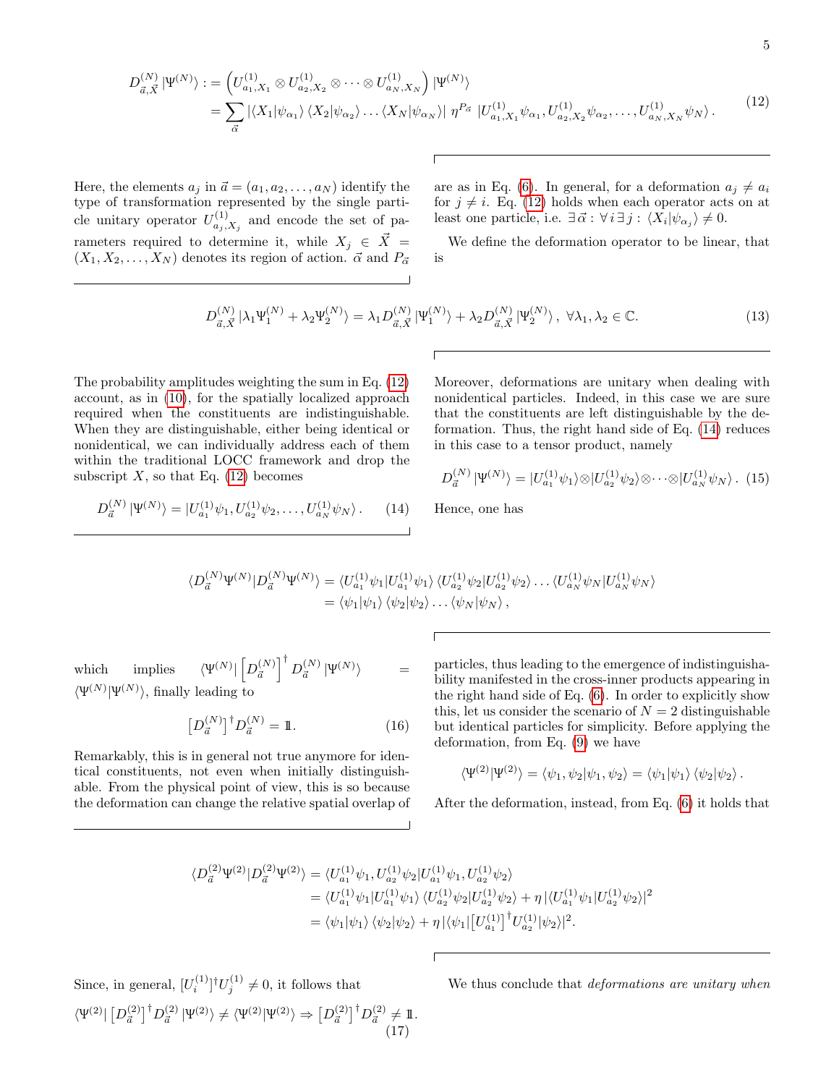<span id="page-4-0"></span>
$$
D_{\vec{a},\vec{X}}^{(N)}|\Psi^{(N)}\rangle := \left(U_{a_1,X_1}^{(1)} \otimes U_{a_2,X_2}^{(1)} \otimes \cdots \otimes U_{a_N,X_N}^{(1)}\right) |\Psi^{(N)}\rangle = \sum_{\vec{\alpha}} |\langle X_1|\psi_{\alpha_1}\rangle \langle X_2|\psi_{\alpha_2}\rangle \dots \langle X_N|\psi_{\alpha_N}\rangle| \eta^{P_{\vec{\alpha}}} |U_{a_1,X_1}^{(1)}\psi_{\alpha_1}, U_{a_2,X_2}^{(1)}\psi_{\alpha_2}, \dots, U_{a_N,X_N}^{(1)}\psi_N\rangle. \tag{12}
$$

Here, the elements  $a_j$  in  $\vec{a} = (a_1, a_2, \dots, a_N)$  identify the type of transformation represented by the single particle unitary operator  $U_{a_i}^{(1)}$  $a_{j,X_j}^{(1)}$  and encode the set of parameters required to determine it, while  $X_j \in \overrightarrow{X}$  =  $(X_1, X_2, \ldots, X_N)$  denotes its region of action.  $\vec{\alpha}$  and  $P_{\vec{\alpha}}$ 

are as in Eq. [\(6\)](#page-2-3). In general, for a deformation  $a_j \neq a_i$ for  $j \neq i$ . Eq. [\(12\)](#page-4-0) holds when each operator acts on at least one particle, i.e.  $\exists \vec{\alpha} : \forall i \exists j : \langle X_i | \psi_{\alpha_j} \rangle \neq 0.$ 

We define the deformation operator to be linear, that is

$$
D_{\vec{a},\vec{X}}^{(N)} \left| \lambda_1 \Psi_1^{(N)} + \lambda_2 \Psi_2^{(N)} \right\rangle = \lambda_1 D_{\vec{a},\vec{X}}^{(N)} \left| \Psi_1^{(N)} \right\rangle + \lambda_2 D_{\vec{a},\vec{X}}^{(N)} \left| \Psi_2^{(N)} \right\rangle, \ \forall \lambda_1, \lambda_2 \in \mathbb{C}.\tag{13}
$$

The probability amplitudes weighting the sum in Eq. [\(12\)](#page-4-0) account, as in [\(10\)](#page-3-2), for the spatially localized approach required when the constituents are indistinguishable. When they are distinguishable, either being identical or nonidentical, we can individually address each of them within the traditional LOCC framework and drop the subscript  $X$ , so that Eq. [\(12\)](#page-4-0) becomes

<span id="page-4-1"></span> $D_{\vec{a}}^{(N)} | \Psi^{(N)} \rangle = | U_{a_1}^{(1)} \psi_1, U_{a_2}^{(1)} \psi_2, \dots, U_{a_N}^{(1)} \psi_N \rangle .$  (14)

Moreover, deformations are unitary when dealing with nonidentical particles. Indeed, in this case we are sure that the constituents are left distinguishable by the deformation. Thus, the right hand side of Eq. [\(14\)](#page-4-1) reduces in this case to a tensor product, namely

$$
D_{\vec{a}}^{(N)} |\Psi^{(N)}\rangle = |U_{a_1}^{(1)}\psi_1\rangle \otimes |U_{a_2}^{(1)}\psi_2\rangle \otimes \cdots \otimes |U_{a_N}^{(1)}\psi_N\rangle. (15)
$$

Hence, one has

$$
\langle D_{\vec{a}}^{(N)} \Psi^{(N)} | D_{\vec{a}}^{(N)} \Psi^{(N)} \rangle = \langle U_{a_1}^{(1)} \psi_1 | U_{a_1}^{(1)} \psi_1 \rangle \langle U_{a_2}^{(1)} \psi_2 | U_{a_2}^{(1)} \psi_2 \rangle \dots \langle U_{a_N}^{(1)} \psi_N | U_{a_N}^{(1)} \psi_N \rangle = \langle \psi_1 | \psi_1 \rangle \langle \psi_2 | \psi_2 \rangle \dots \langle \psi_N | \psi_N \rangle,
$$

which implies  $\left\vert N^{(N)}\right\vert \left\vert D_{\vec{a}}^{(N)}\right\vert ^{\dagger }D_{\vec{a}}^{(N)}\left\vert \Psi^{(N)}\right\vert$  $\rangle$  =  $\langle \Psi^{(N)} | \Psi^{(N)} \rangle$ , finally leading to

$$
\left[D_{\vec{a}}^{(N)}\right]^{\dagger} D_{\vec{a}}^{(N)} = \mathbb{1}.\tag{16}
$$

Remarkably, this is in general not true anymore for identical constituents, not even when initially distinguishable. From the physical point of view, this is so because the deformation can change the relative spatial overlap of

particles, thus leading to the emergence of indistinguishability manifested in the cross-inner products appearing in the right hand side of Eq. [\(6\)](#page-2-3). In order to explicitly show this, let us consider the scenario of  $N = 2$  distinguishable but identical particles for simplicity. Before applying the deformation, from Eq. [\(9\)](#page-2-4) we have

$$
\langle \Psi^{(2)} | \Psi^{(2)} \rangle = \langle \psi_1, \psi_2 | \psi_1, \psi_2 \rangle = \langle \psi_1 | \psi_1 \rangle \langle \psi_2 | \psi_2 \rangle.
$$

After the deformation, instead, from Eq. [\(6\)](#page-2-3) it holds that

$$
\begin{aligned} \langle D^{(2)}_{\vec{a}}\Psi^{(2)}|D^{(2)}_{\vec{a}}\Psi^{(2)}\rangle &=\langle U^{(1)}_{a_1}\psi_1,U^{(1)}_{a_2}\psi_2|U^{(1)}_{a_1}\psi_1,U^{(1)}_{a_2}\psi_2\rangle\\ &=\langle U^{(1)}_{a_1}\psi_1|U^{(1)}_{a_1}\psi_1\rangle\,\langle U^{(1)}_{a_2}\psi_2|U^{(1)}_{a_2}\psi_2\rangle+\eta\,|\langle U^{(1)}_{a_1}\psi_1|U^{(1)}_{a_2}\psi_2\rangle|^2\\ &=\langle \psi_1|\psi_1\rangle\,\langle \psi_2|\psi_2\rangle+\eta\,|\langle \psi_1|[U^{(1)}_{a_1}]^\dagger U^{(1)}_{a_2}|\psi_2\rangle|^2. \end{aligned}
$$

Since, in general,  $[U_i^{(1)}]^{\dagger}U_j^{(1)} \neq 0$ , it follows that  $\langle \Psi^{(2)} | \left[D_{\vec{a}}^{(2)}\right]^\dagger D_{\vec{a}}^{(2)} \left| \Psi^{(2)} \right\rangle \neq \langle \Psi^{(2)} | \Psi^{(2)} \rangle \Rightarrow \left[D_{\vec{a}}^{(2)}\right]^\dagger D_{\vec{a}}^{(2)} \neq \mathbbm{1}.$ (17)

We thus conclude that *deformations* are unitary when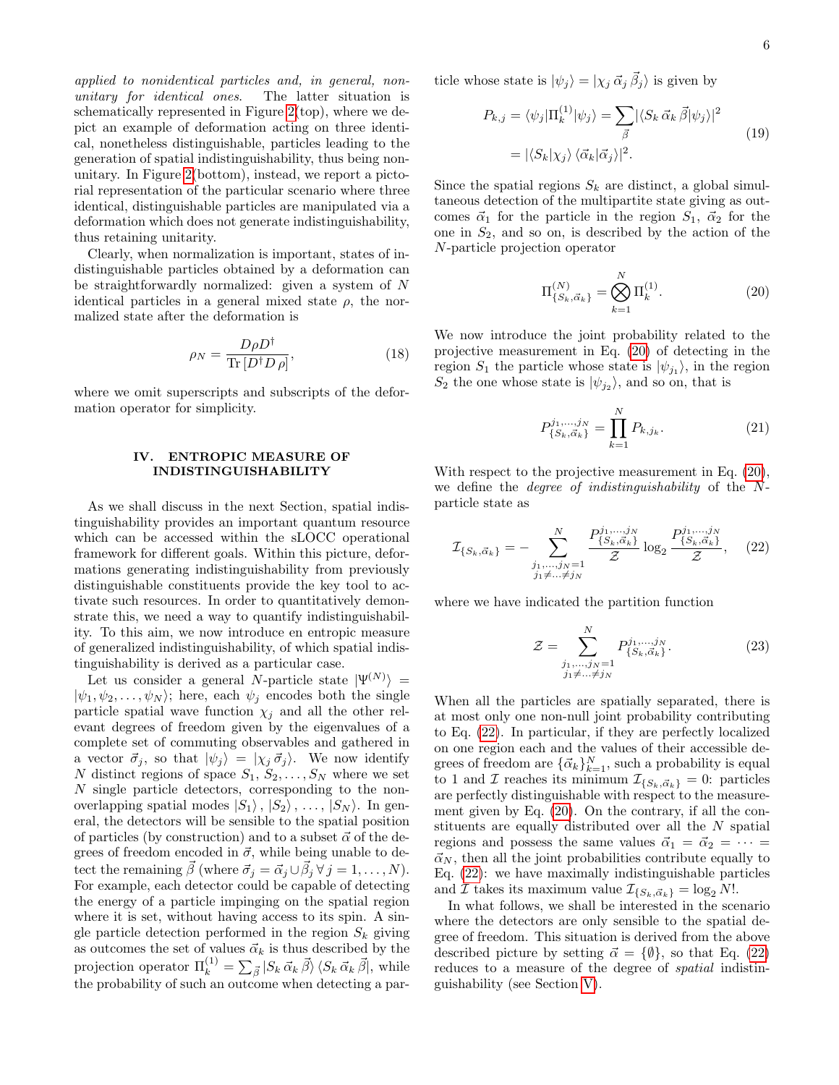applied to nonidentical particles and, in general, nonunitary for identical ones. The latter situation is schematically represented in Figure [2\(](#page-6-1)top), where we depict an example of deformation acting on three identical, nonetheless distinguishable, particles leading to the generation of spatial indistinguishability, thus being nonunitary. In Figure [2\(](#page-6-1)bottom), instead, we report a pictorial representation of the particular scenario where three identical, distinguishable particles are manipulated via a deformation which does not generate indistinguishability, thus retaining unitarity.

Clearly, when normalization is important, states of indistinguishable particles obtained by a deformation can be straightforwardly normalized: given a system of N identical particles in a general mixed state  $\rho$ , the normalized state after the deformation is

$$
\rho_N = \frac{D\rho D^\dagger}{\text{Tr}\left[D^\dagger D \rho\right]},\tag{18}
$$

where we omit superscripts and subscripts of the deformation operator for simplicity.

# <span id="page-5-0"></span>IV. ENTROPIC MEASURE OF INDISTINGUISHABILITY

As we shall discuss in the next Section, spatial indistinguishability provides an important quantum resource which can be accessed within the sLOCC operational framework for different goals. Within this picture, deformations generating indistinguishability from previously distinguishable constituents provide the key tool to activate such resources. In order to quantitatively demonstrate this, we need a way to quantify indistinguishability. To this aim, we now introduce en entropic measure of generalized indistinguishability, of which spatial indistinguishability is derived as a particular case.

Let us consider a general N-particle state  $|\Psi^{(N)}\rangle =$  $|\psi_1, \psi_2, \dots, \psi_N\rangle$ ; here, each  $\psi_i$  encodes both the single particle spatial wave function  $\chi_j$  and all the other relevant degrees of freedom given by the eigenvalues of a complete set of commuting observables and gathered in a vector  $\vec{\sigma}_j$ , so that  $|\psi_j\rangle = |\chi_j \vec{\sigma}_j\rangle$ . We now identify N distinct regions of space  $S_1, S_2, \ldots, S_N$  where we set N single particle detectors, corresponding to the nonoverlapping spatial modes  $|S_1\rangle$ ,  $|S_2\rangle$ , ...,  $|S_N\rangle$ . In general, the detectors will be sensible to the spatial position of particles (by construction) and to a subset  $\vec{\alpha}$  of the degrees of freedom encoded in  $\vec{\sigma}$ , while being unable to detect the remaining  $\vec{\beta}$  (where  $\vec{\sigma}_j = \vec{\alpha}_j \cup \vec{\beta}_j \,\forall \,j = 1,\ldots, N$ ). For example, each detector could be capable of detecting the energy of a particle impinging on the spatial region where it is set, without having access to its spin. A single particle detection performed in the region  $S_k$  giving as outcomes the set of values  $\vec{\alpha}_k$  is thus described by the projection operator  $\Pi_k^{(1)} = \sum_{\vec{\beta}} |S_k \vec{\alpha}_k \vec{\beta} \rangle \langle S_k \vec{\alpha}_k \vec{\beta} |$ , while the probability of such an outcome when detecting a particle whose state is  $|\psi_j\rangle = |\chi_j \vec{\alpha}_j \vec{\beta}_j\rangle$  is given by

$$
P_{k,j} = \langle \psi_j | \Pi_k^{(1)} | \psi_j \rangle = \sum_{\vec{\beta}} |\langle S_k \, \vec{\alpha}_k \, \vec{\beta} | \psi_j \rangle|^2
$$
  
=  $|\langle S_k | \chi_j \rangle \langle \vec{\alpha}_k | \vec{\alpha}_j \rangle|^2$ . (19)

Since the spatial regions  $S_k$  are distinct, a global simultaneous detection of the multipartite state giving as outcomes  $\vec{\alpha}_1$  for the particle in the region  $S_1$ ,  $\vec{\alpha}_2$  for the one in  $S_2$ , and so on, is described by the action of the N-particle projection operator

<span id="page-5-1"></span>
$$
\Pi_{\{S_k, \vec{\alpha}_k\}}^{(N)} = \bigotimes_{k=1}^{N} \Pi_k^{(1)}.
$$
\n(20)

We now introduce the joint probability related to the projective measurement in Eq. [\(20\)](#page-5-1) of detecting in the region  $S_1$  the particle whose state is  $|\psi_{j_1}\rangle$ , in the region  $S_2$  the one whose state is  $|\psi_{j_2}\rangle$ , and so on, that is

$$
P_{\{S_k, \vec{\alpha}_k\}}^{j_1, \dots, j_N} = \prod_{k=1}^N P_{k, j_k}.
$$
 (21)

With respect to the projective measurement in Eq.  $(20)$ , we define the degree of indistinguishability of the Nparticle state as

<span id="page-5-2"></span>
$$
\mathcal{I}_{\{S_k,\vec{\alpha}_k\}} = -\sum_{\substack{j_1,\ldots,j_N=1\\j_1\neq\ldots\neq j_N}}^N \frac{P_{\{S_k,\vec{\alpha}_k\}}^{j_1,\ldots,j_N}}{\mathcal{Z}} \log_2 \frac{P_{\{S_k,\vec{\alpha}_k\}}^{j_1,\ldots,j_N}}{\mathcal{Z}},\tag{22}
$$

where we have indicated the partition function

$$
\mathcal{Z} = \sum_{\substack{j_1, \dots, j_N = 1 \\ j_1 \neq \dots \neq j_N}}^N P_{\{S_k, \vec{\alpha}_k\}}^{j_1, \dots, j_N}.
$$
 (23)

When all the particles are spatially separated, there is at most only one non-null joint probability contributing to Eq. [\(22\)](#page-5-2). In particular, if they are perfectly localized on one region each and the values of their accessible degrees of freedom are  $\{\vec{\alpha}_k\}_{k=1}^N$ , such a probability is equal to 1 and *I* reaches its minimum  $\mathcal{I}_{\{S_k,\vec{\alpha}_k\}}=0$ : particles are perfectly distinguishable with respect to the measurement given by Eq. [\(20\)](#page-5-1). On the contrary, if all the constituents are equally distributed over all the N spatial regions and possess the same values  $\vec{\alpha}_1 = \vec{\alpha}_2 = \cdots =$  $\vec{\alpha}_N$ , then all the joint probabilities contribute equally to Eq. [\(22\)](#page-5-2): we have maximally indistinguishable particles and *I* takes its maximum value  $\mathcal{I}_{\{S_k,\vec{\alpha}_k\}} = \log_2 N!$ .

In what follows, we shall be interested in the scenario where the detectors are only sensible to the spatial degree of freedom. This situation is derived from the above described picture by setting  $\vec{\alpha} = {\emptyset}$ , so that Eq. [\(22\)](#page-5-2) reduces to a measure of the degree of spatial indistinguishability (see Section [V\)](#page-6-0).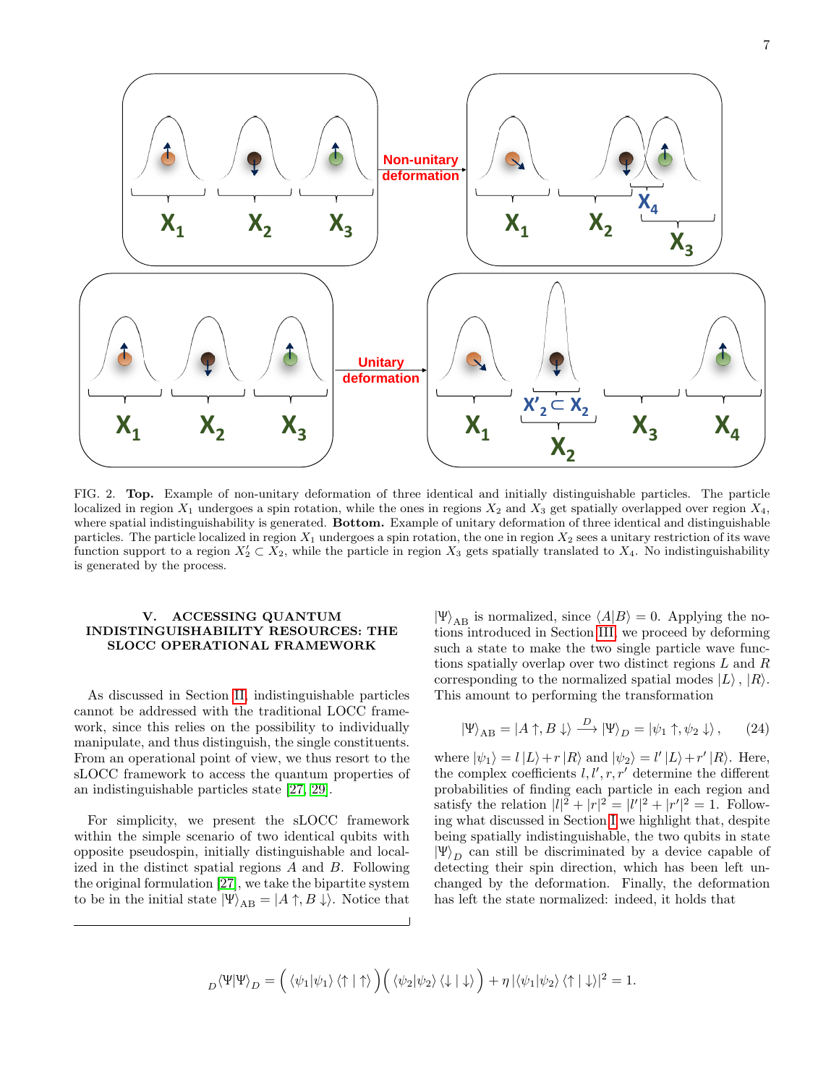

<span id="page-6-1"></span>FIG. 2. Top. Example of non-unitary deformation of three identical and initially distinguishable particles. The particle localized in region  $X_1$  undergoes a spin rotation, while the ones in regions  $X_2$  and  $X_3$  get spatially overlapped over region  $X_4$ , where spatial indistinguishability is generated. **Bottom.** Example of unitary deformation of three identical and distinguishable particles. The particle localized in region  $X_1$  undergoes a spin rotation, the one in region  $X_2$  sees a unitary restriction of its wave function support to a region  $X_2' \subset X_2$ , while the particle in region  $X_3$  gets spatially translated to  $X_4$ . No indistinguishability is generated by the process.

## <span id="page-6-0"></span>V. ACCESSING QUANTUM INDISTINGUISHABILITY RESOURCES: THE SLOCC OPERATIONAL FRAMEWORK

As discussed in Section [II,](#page-1-0) indistinguishable particles cannot be addressed with the traditional LOCC framework, since this relies on the possibility to individually manipulate, and thus distinguish, the single constituents. From an operational point of view, we thus resort to the sLOCC framework to access the quantum properties of an indistinguishable particles state [\[27,](#page-9-13) [29\]](#page-9-15).

For simplicity, we present the sLOCC framework within the simple scenario of two identical qubits with opposite pseudospin, initially distinguishable and localized in the distinct spatial regions A and B. Following the original formulation [\[27\]](#page-9-13), we take the bipartite system to be in the initial state  $|\Psi\rangle_{AB} = |A \uparrow, B \downarrow\rangle$ . Notice that

 $|\Psi\rangle_{AB}$  is normalized, since  $\langle A|B \rangle = 0$ . Applying the notions introduced in Section [III,](#page-3-0) we proceed by deforming such a state to make the two single particle wave functions spatially overlap over two distinct regions L and R corresponding to the normalized spatial modes  $|L\rangle$ ,  $|R\rangle$ . This amount to performing the transformation

$$
\left|\Psi\right\rangle_{AB} = \left|A\uparrow, B\downarrow\right\rangle \stackrel{D}{\longrightarrow} \left|\Psi\right\rangle_D = \left|\psi_1\uparrow, \psi_2\downarrow\right\rangle, \qquad (24)
$$

where  $|\psi_1\rangle = l |L\rangle + r |R\rangle$  and  $|\psi_2\rangle = l' |L\rangle + r' |R\rangle$ . Here, the complex coefficients  $l, l', r, r'$  determine the different probabilities of finding each particle in each region and satisfy the relation  $|l|^2 + |r|^2 = |l'|^2 + |r'|^2 = 1$ . Following what discussed in Section [I](#page-0-0) we highlight that, despite being spatially indistinguishable, the two qubits in state  $|\Psi\rangle_D$  can still be discriminated by a device capable of detecting their spin direction, which has been left unchanged by the deformation. Finally, the deformation has left the state normalized: indeed, it holds that

$$
{}_D\langle\Psi|\Psi\rangle_D=\Big(\left.\langle\psi_1|\psi_1\right\rangle\left\langle\uparrow|\uparrow\right\rangle\Big)\Big(\left.\langle\psi_2|\psi_2\right\rangle\left\langle\downarrow|\downarrow\right\rangle\Big)+\eta\left|\left\langle\psi_1|\psi_2\right\rangle\left\langle\uparrow|\downarrow\right\rangle\right|^2=1.
$$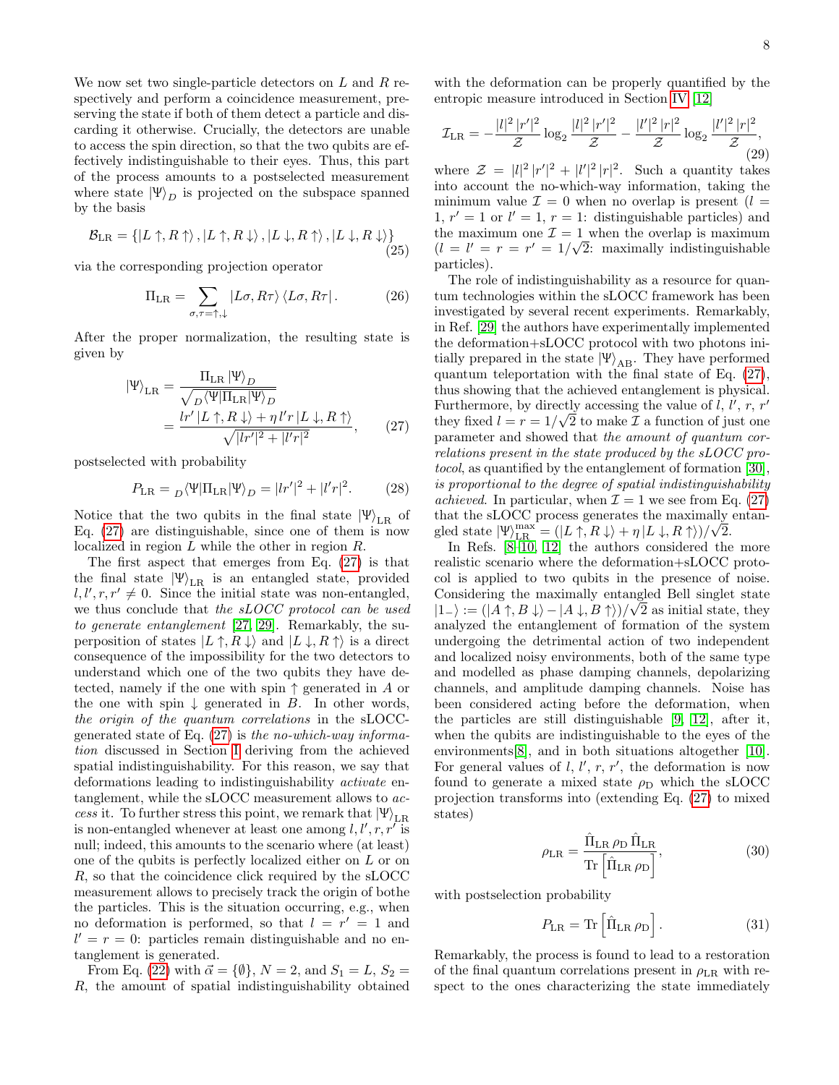We now set two single-particle detectors on  $L$  and  $R$  respectively and perform a coincidence measurement, preserving the state if both of them detect a particle and discarding it otherwise. Crucially, the detectors are unable to access the spin direction, so that the two qubits are effectively indistinguishable to their eyes. Thus, this part of the process amounts to a postselected measurement where state  $|\Psi\rangle_D$  is projected on the subspace spanned by the basis

$$
\mathcal{B}_{LR} = \{ |L \uparrow, R \uparrow \rangle, |L \uparrow, R \downarrow \rangle, |L \downarrow, R \uparrow \rangle, |L \downarrow, R \downarrow \rangle \}
$$
\n(25)

via the corresponding projection operator

$$
\Pi_{LR} = \sum_{\sigma,\tau=\uparrow,\downarrow} |L\sigma,R\tau\rangle \langle L\sigma,R\tau|.
$$
 (26)

After the proper normalization, the resulting state is given by

<span id="page-7-0"></span>
$$
\begin{split} \left| \Psi \right\rangle_{\text{LR}} &= \frac{\Pi_{\text{LR}} \left| \Psi \right\rangle_D}{\sqrt{D \left\langle \Psi \right| \Pi_{\text{LR}} \left| \Psi \right\rangle_D}} \\ &= \frac{\ln'|L \uparrow, R \downarrow\rangle + \eta \, l'r \left| L \downarrow, R \uparrow \right\rangle}{\sqrt{|l'r'|^2 + |l'r|^2}}, \end{split} \tag{27}
$$

postselected with probability

$$
P_{\rm LR} = {}_D \langle \Psi | \Pi_{\rm LR} | \Psi \rangle_D = |lr'|^2 + |l'r|^2. \tag{28}
$$

Notice that the two qubits in the final state  $|\Psi\rangle_{LR}$  of Eq. [\(27\)](#page-7-0) are distinguishable, since one of them is now localized in region L while the other in region R.

The first aspect that emerges from Eq. [\(27\)](#page-7-0) is that the final state  $|\Psi\rangle_{LR}$  is an entangled state, provided  $l, l', r, r' \neq 0$ . Since the initial state was non-entangled, we thus conclude that the sLOCC protocol can be used to generate entanglement [\[27,](#page-9-13) [29\]](#page-9-15). Remarkably, the superposition of states  $|L \uparrow, R \downarrow\rangle$  and  $|L \downarrow, R \uparrow\rangle$  is a direct consequence of the impossibility for the two detectors to understand which one of the two qubits they have detected, namely if the one with spin  $\uparrow$  generated in A or the one with spin  $\downarrow$  generated in B. In other words, the origin of the quantum correlations in the sLOCCgenerated state of Eq.  $(27)$  is the no-which-way information discussed in Section [I](#page-0-0) deriving from the achieved spatial indistinguishability. For this reason, we say that deformations leading to indistinguishability activate entanglement, while the sLOCC measurement allows to access it. To further stress this point, we remark that  $|\Psi\rangle_{LR}$ is non-entangled whenever at least one among  $l, l', r, r'$  is null; indeed, this amounts to the scenario where (at least) one of the qubits is perfectly localized either on L or on R, so that the coincidence click required by the sLOCC measurement allows to precisely track the origin of bothe the particles. This is the situation occurring, e.g., when no deformation is performed, so that  $l = r' = 1$  and  $l' = r = 0$ : particles remain distinguishable and no entanglement is generated.

From Eq. [\(22\)](#page-5-2) with  $\vec{\alpha} = {\emptyset}$ ,  $N = 2$ , and  $S_1 = L$ ,  $S_2 =$ R, the amount of spatial indistinguishability obtained

with the deformation can be properly quantified by the entropic measure introduced in Section [IV](#page-5-0) [\[12\]](#page-9-10)

$$
\mathcal{I}_{LR} = -\frac{|l|^2 |r'|^2}{\mathcal{Z}} \log_2 \frac{|l|^2 |r'|^2}{\mathcal{Z}} - \frac{|l'|^2 |r|^2}{\mathcal{Z}} \log_2 \frac{|l'|^2 |r|^2}{\mathcal{Z}},\tag{29}
$$

where  $\mathcal{Z} = |l|^2 |r'|^2 + |l'|^2 |r|^2$ . Such a quantity takes into account the no-which-way information, taking the minimum value  $\mathcal{I} = 0$  when no overlap is present  $(l =$ 1,  $r' = 1$  or  $l' = 1$ ,  $r = 1$ : distinguishable particles) and the maximum one  $\mathcal{I} = 1$  when the overlap is maximum  $(l = l' = r = r' = 1/\sqrt{2}$ : maximally indistinguishable particles).

The role of indistinguishability as a resource for quantum technologies within the sLOCC framework has been investigated by several recent experiments. Remarkably, in Ref. [\[29\]](#page-9-15) the authors have experimentally implemented the deformation+sLOCC protocol with two photons initially prepared in the state  $|\Psi\rangle_{AB}$ . They have performed quantum teleportation with the final state of Eq. [\(27\)](#page-7-0), thus showing that the achieved entanglement is physical. Furthermore, by directly accessing the value of  $l, l', r, r'$ they fixed  $l = r = 1/\sqrt{2}$  to make  $\mathcal I$  a function of just one parameter and showed that the amount of quantum correlations present in the state produced by the sLOCC protocol, as quantified by the entanglement of formation [\[30\]](#page-9-16), is proportional to the degree of spatial indistinguishability *achieved.* In particular, when  $\mathcal{I} = 1$  we see from Eq. [\(27\)](#page-7-0) that the sLOCC process generates the maximally entangled state  $|\Psi\rangle_{\text{LR}}^{\text{max}} = (|L \uparrow, R \downarrow\rangle + \eta |L \downarrow, R \uparrow\rangle)/\sqrt{2}.$ 

In Refs. [\[8](#page-9-6)[–10,](#page-9-8) [12\]](#page-9-10) the authors considered the more realistic scenario where the deformation+sLOCC protocol is applied to two qubits in the presence of noise. Considering the maximally entangled Bell singlet state  $|1_{-}\rangle := (|A \uparrow, B \downarrow\rangle - |A \downarrow, B \uparrow\rangle)/\sqrt{2}$  as initial state, they analyzed the entanglement of formation of the system undergoing the detrimental action of two independent and localized noisy environments, both of the same type and modelled as phase damping channels, depolarizing channels, and amplitude damping channels. Noise has been considered acting before the deformation, when the particles are still distinguishable [\[9,](#page-9-7) [12\]](#page-9-10), after it, when the qubits are indistinguishable to the eyes of the environments[\[8\]](#page-9-6), and in both situations altogether [\[10\]](#page-9-8). For general values of  $l, l', r, r'$ , the deformation is now found to generate a mixed state  $\rho_D$  which the sLOCC projection transforms into (extending Eq. [\(27\)](#page-7-0) to mixed states)

$$
\rho_{LR} = \frac{\hat{\Pi}_{LR} \,\rho_D \,\hat{\Pi}_{LR}}{\text{Tr}\left[\hat{\Pi}_{LR} \,\rho_D\right]},\tag{30}
$$

with postselection probability

$$
P_{\rm LR} = \text{Tr} \left[ \hat{\Pi}_{\rm LR} \,\rho_{\rm D} \right]. \tag{31}
$$

Remarkably, the process is found to lead to a restoration of the final quantum correlations present in  $\rho_{LR}$  with respect to the ones characterizing the state immediately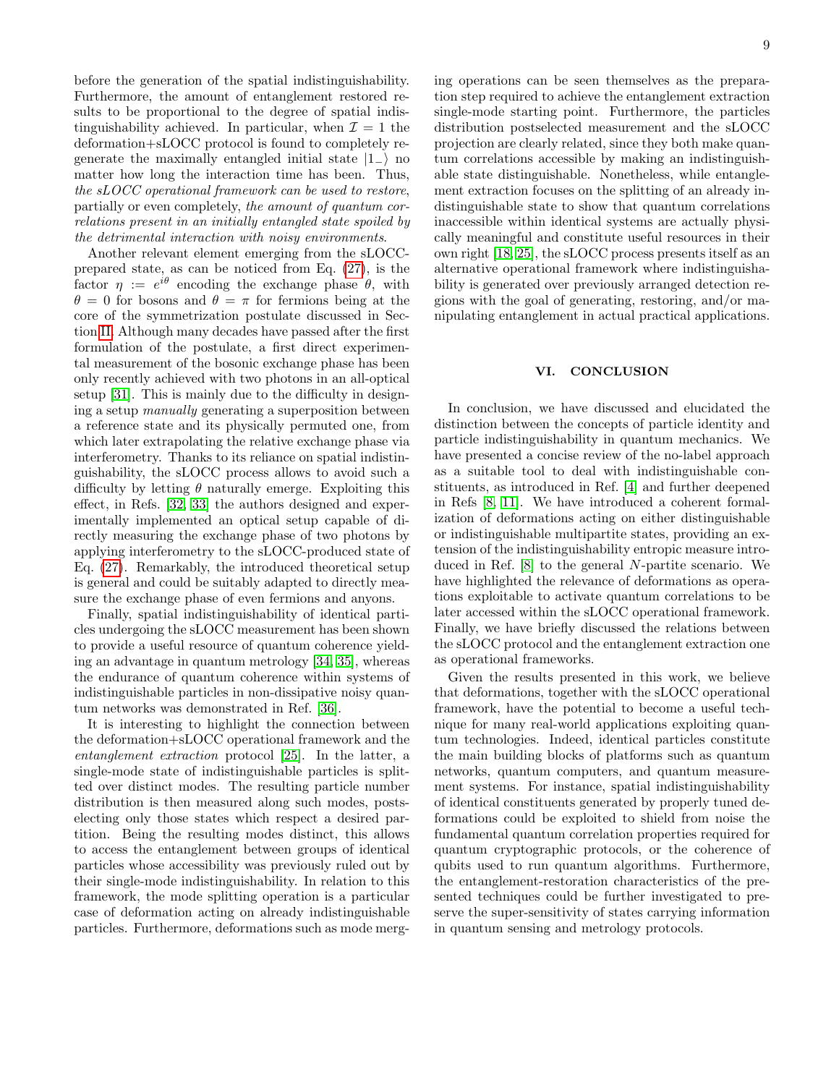before the generation of the spatial indistinguishability. Furthermore, the amount of entanglement restored results to be proportional to the degree of spatial indistinguishability achieved. In particular, when  $\mathcal{I} = 1$  the deformation+sLOCC protocol is found to completely regenerate the maximally entangled initial state  $|1_-\rangle$  no matter how long the interaction time has been. Thus, the sLOCC operational framework can be used to restore, partially or even completely, the amount of quantum correlations present in an initially entangled state spoiled by the detrimental interaction with noisy environments.

Another relevant element emerging from the sLOCCprepared state, as can be noticed from Eq. [\(27\)](#page-7-0), is the factor  $\eta := e^{i\theta}$  encoding the exchange phase  $\theta$ , with  $\theta = 0$  for bosons and  $\theta = \pi$  for fermions being at the core of the symmetrization postulate discussed in Section [II.](#page-1-0) Although many decades have passed after the first formulation of the postulate, a first direct experimental measurement of the bosonic exchange phase has been only recently achieved with two photons in an all-optical setup [\[31\]](#page-9-17). This is mainly due to the difficulty in designing a setup manually generating a superposition between a reference state and its physically permuted one, from which later extrapolating the relative exchange phase via interferometry. Thanks to its reliance on spatial indistinguishability, the sLOCC process allows to avoid such a difficulty by letting  $\theta$  naturally emerge. Exploiting this effect, in Refs. [\[32,](#page-9-18) [33\]](#page-9-19) the authors designed and experimentally implemented an optical setup capable of directly measuring the exchange phase of two photons by applying interferometry to the sLOCC-produced state of Eq. [\(27\)](#page-7-0). Remarkably, the introduced theoretical setup is general and could be suitably adapted to directly measure the exchange phase of even fermions and anyons.

Finally, spatial indistinguishability of identical particles undergoing the sLOCC measurement has been shown to provide a useful resource of quantum coherence yielding an advantage in quantum metrology [\[34,](#page-9-20) [35\]](#page-9-21), whereas the endurance of quantum coherence within systems of indistinguishable particles in non-dissipative noisy quantum networks was demonstrated in Ref. [\[36\]](#page-9-22).

It is interesting to highlight the connection between the deformation+sLOCC operational framework and the entanglement extraction protocol [\[25\]](#page-9-23). In the latter, a single-mode state of indistinguishable particles is splitted over distinct modes. The resulting particle number distribution is then measured along such modes, postselecting only those states which respect a desired partition. Being the resulting modes distinct, this allows to access the entanglement between groups of identical particles whose accessibility was previously ruled out by their single-mode indistinguishability. In relation to this framework, the mode splitting operation is a particular case of deformation acting on already indistinguishable particles. Furthermore, deformations such as mode merging operations can be seen themselves as the preparation step required to achieve the entanglement extraction single-mode starting point. Furthermore, the particles distribution postselected measurement and the sLOCC projection are clearly related, since they both make quantum correlations accessible by making an indistinguishable state distinguishable. Nonetheless, while entanglement extraction focuses on the splitting of an already indistinguishable state to show that quantum correlations inaccessible within identical systems are actually physically meaningful and constitute useful resources in their own right [\[18,](#page-9-24) [25\]](#page-9-23), the sLOCC process presents itself as an alternative operational framework where indistinguishability is generated over previously arranged detection regions with the goal of generating, restoring, and/or manipulating entanglement in actual practical applications.

#### VI. CONCLUSION

In conclusion, we have discussed and elucidated the distinction between the concepts of particle identity and particle indistinguishability in quantum mechanics. We have presented a concise review of the no-label approach as a suitable tool to deal with indistinguishable constituents, as introduced in Ref. [\[4\]](#page-9-3) and further deepened in Refs [\[8,](#page-9-6) [11\]](#page-9-9). We have introduced a coherent formalization of deformations acting on either distinguishable or indistinguishable multipartite states, providing an extension of the indistinguishability entropic measure introduced in Ref. [\[8\]](#page-9-6) to the general N-partite scenario. We have highlighted the relevance of deformations as operations exploitable to activate quantum correlations to be later accessed within the sLOCC operational framework. Finally, we have briefly discussed the relations between the sLOCC protocol and the entanglement extraction one as operational frameworks.

Given the results presented in this work, we believe that deformations, together with the sLOCC operational framework, have the potential to become a useful technique for many real-world applications exploiting quantum technologies. Indeed, identical particles constitute the main building blocks of platforms such as quantum networks, quantum computers, and quantum measurement systems. For instance, spatial indistinguishability of identical constituents generated by properly tuned deformations could be exploited to shield from noise the fundamental quantum correlation properties required for quantum cryptographic protocols, or the coherence of qubits used to run quantum algorithms. Furthermore, the entanglement-restoration characteristics of the presented techniques could be further investigated to preserve the super-sensitivity of states carrying information in quantum sensing and metrology protocols.